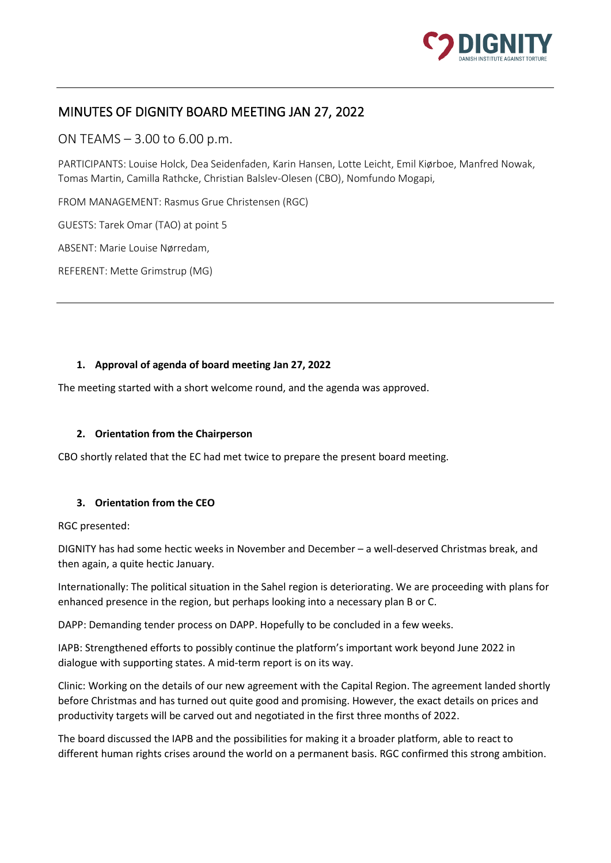

# MINUTES OF DIGNITY BOARD MEETING JAN 27, 2022

ON TEAMS – 3.00 to 6.00 p.m.

PARTICIPANTS: Louise Holck, Dea Seidenfaden, Karin Hansen, Lotte Leicht, Emil Kiørboe, Manfred Nowak, Tomas Martin, Camilla Rathcke, Christian Balslev-Olesen (CBO), Nomfundo Mogapi,

FROM MANAGEMENT: Rasmus Grue Christensen (RGC)

GUESTS: Tarek Omar (TAO) at point 5

ABSENT: Marie Louise Nørredam,

REFERENT: Mette Grimstrup (MG)

#### **1. Approval of agenda of board meeting Jan 27, 2022**

The meeting started with a short welcome round, and the agenda was approved.

#### **2. Orientation from the Chairperson**

CBO shortly related that the EC had met twice to prepare the present board meeting.

## **3. Orientation from the CEO**

RGC presented:

DIGNITY has had some hectic weeks in November and December – a well-deserved Christmas break, and then again, a quite hectic January.

Internationally: The political situation in the Sahel region is deteriorating. We are proceeding with plans for enhanced presence in the region, but perhaps looking into a necessary plan B or C.

DAPP: Demanding tender process on DAPP. Hopefully to be concluded in a few weeks.

IAPB: Strengthened efforts to possibly continue the platform's important work beyond June 2022 in dialogue with supporting states. A mid-term report is on its way.

Clinic: Working on the details of our new agreement with the Capital Region. The agreement landed shortly before Christmas and has turned out quite good and promising. However, the exact details on prices and productivity targets will be carved out and negotiated in the first three months of 2022.

The board discussed the IAPB and the possibilities for making it a broader platform, able to react to different human rights crises around the world on a permanent basis. RGC confirmed this strong ambition.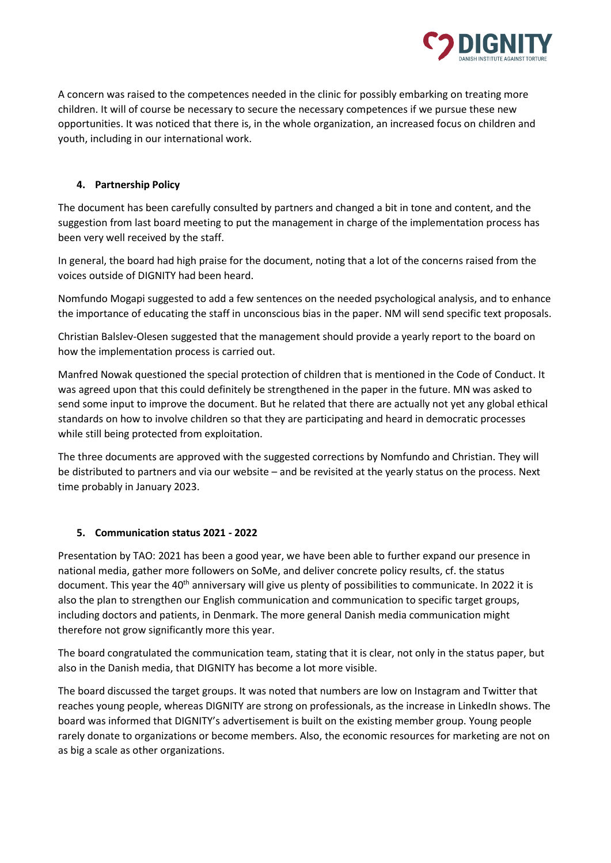

A concern was raised to the competences needed in the clinic for possibly embarking on treating more children. It will of course be necessary to secure the necessary competences if we pursue these new opportunities. It was noticed that there is, in the whole organization, an increased focus on children and youth, including in our international work.

## **4. Partnership Policy**

The document has been carefully consulted by partners and changed a bit in tone and content, and the suggestion from last board meeting to put the management in charge of the implementation process has been very well received by the staff.

In general, the board had high praise for the document, noting that a lot of the concerns raised from the voices outside of DIGNITY had been heard.

Nomfundo Mogapi suggested to add a few sentences on the needed psychological analysis, and to enhance the importance of educating the staff in unconscious bias in the paper. NM will send specific text proposals.

Christian Balslev-Olesen suggested that the management should provide a yearly report to the board on how the implementation process is carried out.

Manfred Nowak questioned the special protection of children that is mentioned in the Code of Conduct. It was agreed upon that this could definitely be strengthened in the paper in the future. MN was asked to send some input to improve the document. But he related that there are actually not yet any global ethical standards on how to involve children so that they are participating and heard in democratic processes while still being protected from exploitation.

The three documents are approved with the suggested corrections by Nomfundo and Christian. They will be distributed to partners and via our website – and be revisited at the yearly status on the process. Next time probably in January 2023.

## **5. Communication status 2021 - 2022**

Presentation by TAO: 2021 has been a good year, we have been able to further expand our presence in national media, gather more followers on SoMe, and deliver concrete policy results, cf. the status document. This year the 40<sup>th</sup> anniversary will give us plenty of possibilities to communicate. In 2022 it is also the plan to strengthen our English communication and communication to specific target groups, including doctors and patients, in Denmark. The more general Danish media communication might therefore not grow significantly more this year.

The board congratulated the communication team, stating that it is clear, not only in the status paper, but also in the Danish media, that DIGNITY has become a lot more visible.

The board discussed the target groups. It was noted that numbers are low on Instagram and Twitter that reaches young people, whereas DIGNITY are strong on professionals, as the increase in LinkedIn shows. The board was informed that DIGNITY's advertisement is built on the existing member group. Young people rarely donate to organizations or become members. Also, the economic resources for marketing are not on as big a scale as other organizations.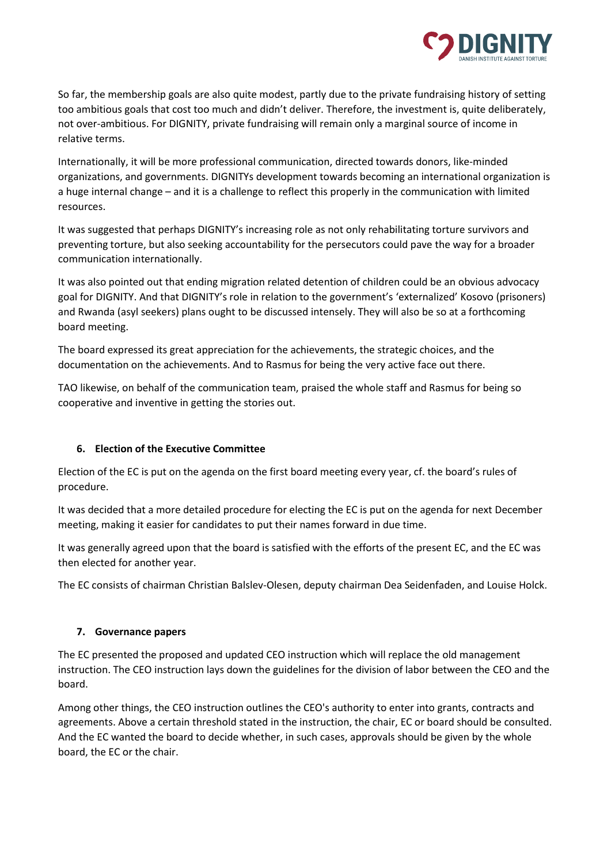

So far, the membership goals are also quite modest, partly due to the private fundraising history of setting too ambitious goals that cost too much and didn't deliver. Therefore, the investment is, quite deliberately, not over-ambitious. For DIGNITY, private fundraising will remain only a marginal source of income in relative terms.

Internationally, it will be more professional communication, directed towards donors, like-minded organizations, and governments. DIGNITYs development towards becoming an international organization is a huge internal change – and it is a challenge to reflect this properly in the communication with limited resources.

It was suggested that perhaps DIGNITY's increasing role as not only rehabilitating torture survivors and preventing torture, but also seeking accountability for the persecutors could pave the way for a broader communication internationally.

It was also pointed out that ending migration related detention of children could be an obvious advocacy goal for DIGNITY. And that DIGNITY's role in relation to the government's 'externalized' Kosovo (prisoners) and Rwanda (asyl seekers) plans ought to be discussed intensely. They will also be so at a forthcoming board meeting.

The board expressed its great appreciation for the achievements, the strategic choices, and the documentation on the achievements. And to Rasmus for being the very active face out there.

TAO likewise, on behalf of the communication team, praised the whole staff and Rasmus for being so cooperative and inventive in getting the stories out.

## **6. Election of the Executive Committee**

Election of the EC is put on the agenda on the first board meeting every year, cf. the board's rules of procedure.

It was decided that a more detailed procedure for electing the EC is put on the agenda for next December meeting, making it easier for candidates to put their names forward in due time.

It was generally agreed upon that the board is satisfied with the efforts of the present EC, and the EC was then elected for another year.

The EC consists of chairman Christian Balslev-Olesen, deputy chairman Dea Seidenfaden, and Louise Holck.

## **7. Governance papers**

The EC presented the proposed and updated CEO instruction which will replace the old management instruction. The CEO instruction lays down the guidelines for the division of labor between the CEO and the board.

Among other things, the CEO instruction outlines the CEO's authority to enter into grants, contracts and agreements. Above a certain threshold stated in the instruction, the chair, EC or board should be consulted. And the EC wanted the board to decide whether, in such cases, approvals should be given by the whole board, the EC or the chair.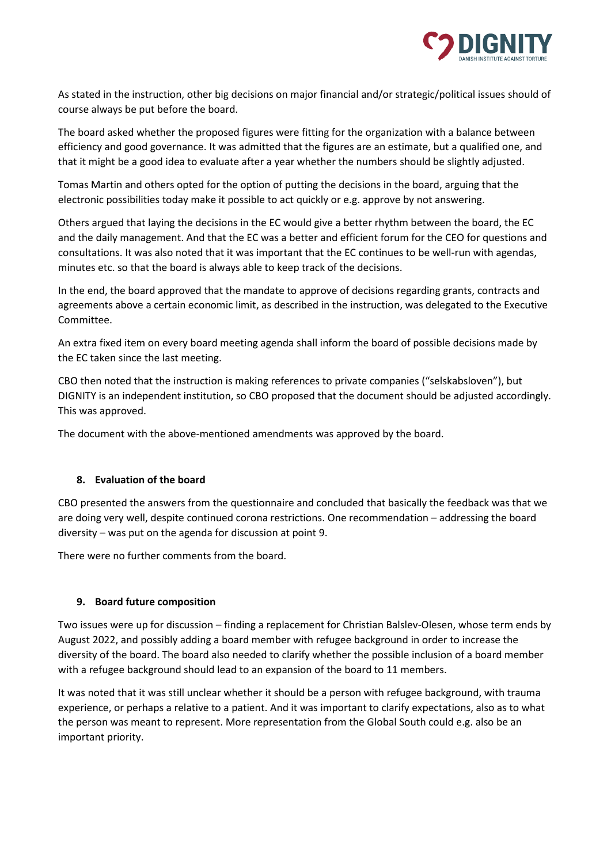

As stated in the instruction, other big decisions on major financial and/or strategic/political issues should of course always be put before the board.

The board asked whether the proposed figures were fitting for the organization with a balance between efficiency and good governance. It was admitted that the figures are an estimate, but a qualified one, and that it might be a good idea to evaluate after a year whether the numbers should be slightly adjusted.

Tomas Martin and others opted for the option of putting the decisions in the board, arguing that the electronic possibilities today make it possible to act quickly or e.g. approve by not answering.

Others argued that laying the decisions in the EC would give a better rhythm between the board, the EC and the daily management. And that the EC was a better and efficient forum for the CEO for questions and consultations. It was also noted that it was important that the EC continues to be well-run with agendas, minutes etc. so that the board is always able to keep track of the decisions.

In the end, the board approved that the mandate to approve of decisions regarding grants, contracts and agreements above a certain economic limit, as described in the instruction, was delegated to the Executive Committee.

An extra fixed item on every board meeting agenda shall inform the board of possible decisions made by the EC taken since the last meeting.

CBO then noted that the instruction is making references to private companies ("selskabsloven"), but DIGNITY is an independent institution, so CBO proposed that the document should be adjusted accordingly. This was approved.

The document with the above-mentioned amendments was approved by the board.

## **8. Evaluation of the board**

CBO presented the answers from the questionnaire and concluded that basically the feedback was that we are doing very well, despite continued corona restrictions. One recommendation – addressing the board diversity – was put on the agenda for discussion at point 9.

There were no further comments from the board.

## **9. Board future composition**

Two issues were up for discussion – finding a replacement for Christian Balslev-Olesen, whose term ends by August 2022, and possibly adding a board member with refugee background in order to increase the diversity of the board. The board also needed to clarify whether the possible inclusion of a board member with a refugee background should lead to an expansion of the board to 11 members.

It was noted that it was still unclear whether it should be a person with refugee background, with trauma experience, or perhaps a relative to a patient. And it was important to clarify expectations, also as to what the person was meant to represent. More representation from the Global South could e.g. also be an important priority.